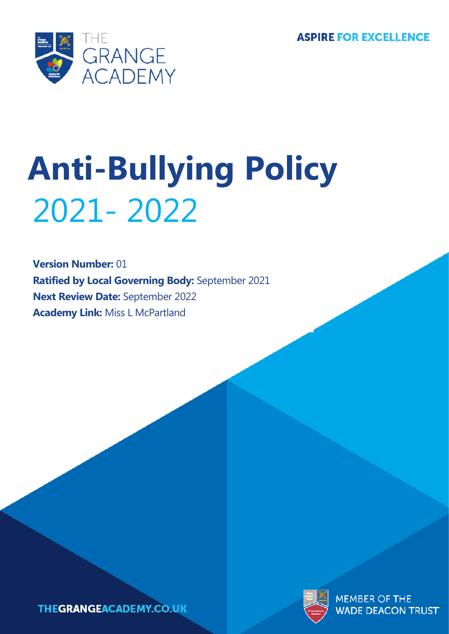**ASPIRE FOR EXCELLENCE** 



# **Anti-Bullying Policy** 2021- 2022

**Version Number:** 01 **Ratified by Local Governing Body:** September 2021 **Next Review Date:** September 2022 **Academy Link:** Miss L McPartland



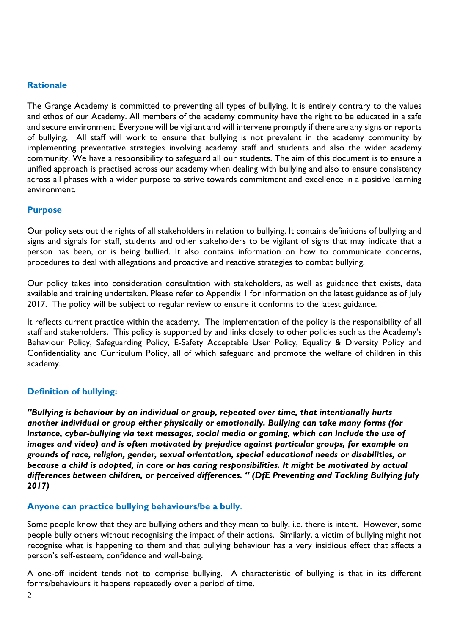#### **Rationale**

The Grange Academy is committed to preventing all types of bullying. It is entirely contrary to the values and ethos of our Academy. All members of the academy community have the right to be educated in a safe and secure environment. Everyone will be vigilant and will intervene promptly if there are any signs or reports of bullying. All staff will work to ensure that bullying is not prevalent in the academy community by implementing preventative strategies involving academy staff and students and also the wider academy community. We have a responsibility to safeguard all our students. The aim of this document is to ensure a unified approach is practised across our academy when dealing with bullying and also to ensure consistency across all phases with a wider purpose to strive towards commitment and excellence in a positive learning environment.

#### **Purpose**

Our policy sets out the rights of all stakeholders in relation to bullying. It contains definitions of bullying and signs and signals for staff, students and other stakeholders to be vigilant of signs that may indicate that a person has been, or is being bullied. It also contains information on how to communicate concerns, procedures to deal with allegations and proactive and reactive strategies to combat bullying.

Our policy takes into consideration consultation with stakeholders, as well as guidance that exists, data available and training undertaken. Please refer to Appendix 1 for information on the latest guidance as of July 2017. The policy will be subject to regular review to ensure it conforms to the latest guidance.

It reflects current practice within the academy. The implementation of the policy is the responsibility of all staff and stakeholders. This policy is supported by and links closely to other policies such as the Academy's Behaviour Policy, Safeguarding Policy, E-Safety Acceptable User Policy, Equality & Diversity Policy and Confidentiality and Curriculum Policy, all of which safeguard and promote the welfare of children in this academy.

#### **Definition of bullying:**

*"Bullying is behaviour by an individual or group, repeated over time, that intentionally hurts another individual or group either physically or emotionally. Bullying can take many forms (for instance, cyber-bullying via text messages, social media or gaming, which can include the use of images and video) and is often motivated by prejudice against particular groups, for example on grounds of race, religion, gender, sexual orientation, special educational needs or disabilities, or because a child is adopted, in care or has caring responsibilities. It might be motivated by actual differences between children, or perceived differences. " (DfE Preventing and Tackling Bullying July 2017)*

#### **Anyone can practice bullying behaviours/be a bully**.

Some people know that they are bullying others and they mean to bully, i.e. there is intent. However, some people bully others without recognising the impact of their actions. Similarly, a victim of bullying might not recognise what is happening to them and that bullying behaviour has a very insidious effect that affects a person's self-esteem, confidence and well-being.

A one-off incident tends not to comprise bullying. A characteristic of bullying is that in its different forms/behaviours it happens repeatedly over a period of time.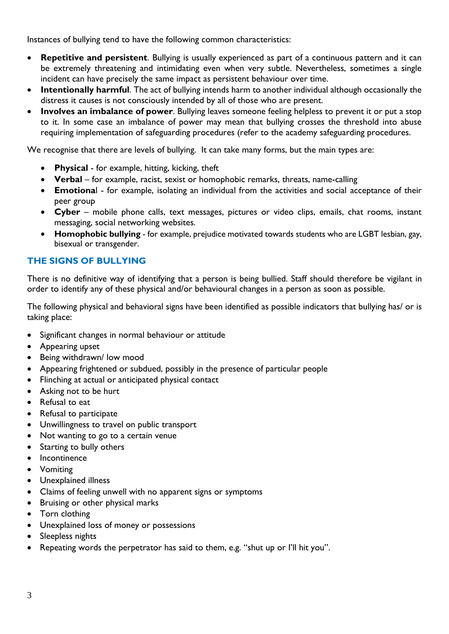Instances of bullying tend to have the following common characteristics:

- **Repetitive and persistent**. Bullying is usually experienced as part of a continuous pattern and it can be extremely threatening and intimidating even when very subtle. Nevertheless, sometimes a single incident can have precisely the same impact as persistent behaviour over time.
- **Intentionally harmful**. The act of bullying intends harm to another individual although occasionally the distress it causes is not consciously intended by all of those who are present.
- **Involves an imbalance of power**. Bullying leaves someone feeling helpless to prevent it or put a stop to it. In some case an imbalance of power may mean that bullying crosses the threshold into abuse requiring implementation of safeguarding procedures (refer to the academy safeguarding procedures.

We recognise that there are levels of bullying. It can take many forms, but the main types are:

- **Physical** for example, hitting, kicking, theft
- **Verbal** for example, racist, sexist or homophobic remarks, threats, name-calling
- **Emotiona**l for example, isolating an individual from the activities and social acceptance of their peer group
- **Cyber** mobile phone calls, text messages, pictures or video clips, emails, chat rooms, instant messaging, social networking websites.
- **Homophobic bullying** for example, prejudice motivated towards students who are LGBT lesbian, gay, bisexual or transgender.

#### **THE SIGNS OF BULLYING**

There is no definitive way of identifying that a person is being bullied. Staff should therefore be vigilant in order to identify any of these physical and/or behavioural changes in a person as soon as possible.

The following physical and behavioral signs have been identified as possible indicators that bullying has/ or is taking place:

- Significant changes in normal behaviour or attitude
- Appearing upset
- Being withdrawn/ low mood
- Appearing frightened or subdued, possibly in the presence of particular people
- Flinching at actual or anticipated physical contact
- Asking not to be hurt
- Refusal to eat
- Refusal to participate
- Unwillingness to travel on public transport
- Not wanting to go to a certain venue
- Starting to bully others
- **Incontinence**
- Vomiting
- Unexplained illness
- Claims of feeling unwell with no apparent signs or symptoms
- Bruising or other physical marks
- Torn clothing
- Unexplained loss of money or possessions
- Sleepless nights
- Repeating words the perpetrator has said to them, e.g. "shut up or I'll hit you".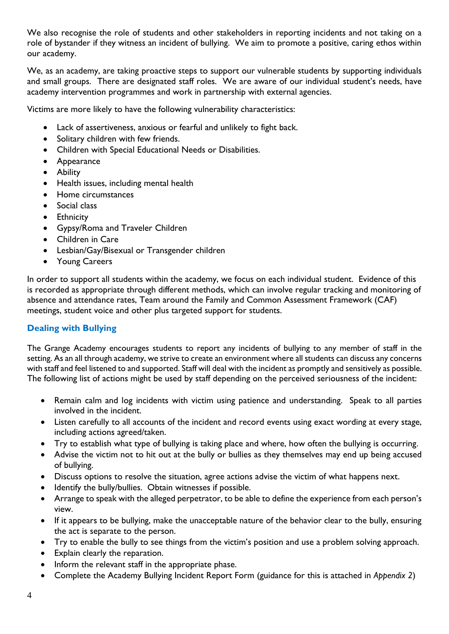We also recognise the role of students and other stakeholders in reporting incidents and not taking on a role of bystander if they witness an incident of bullying. We aim to promote a positive, caring ethos within our academy.

We, as an academy, are taking proactive steps to support our vulnerable students by supporting individuals and small groups. There are designated staff roles. We are aware of our individual student's needs, have academy intervention programmes and work in partnership with external agencies.

Victims are more likely to have the following vulnerability characteristics:

- Lack of assertiveness, anxious or fearful and unlikely to fight back.
- Solitary children with few friends.
- Children with Special Educational Needs or Disabilities.
- Appearance
- Ability
- Health issues, including mental health
- Home circumstances
- Social class
- Ethnicity
- Gypsy/Roma and Traveler Children
- Children in Care
- Lesbian/Gay/Bisexual or Transgender children
- Young Careers

In order to support all students within the academy, we focus on each individual student. Evidence of this is recorded as appropriate through different methods, which can involve regular tracking and monitoring of absence and attendance rates, Team around the Family and Common Assessment Framework (CAF) meetings, student voice and other plus targeted support for students.

#### **Dealing with Bullying**

The Grange Academy encourages students to report any incidents of bullying to any member of staff in the setting. As an all through academy, we strive to create an environment where all students can discuss any concerns with staff and feel listened to and supported. Staff will deal with the incident as promptly and sensitively as possible. The following list of actions might be used by staff depending on the perceived seriousness of the incident:

- Remain calm and log incidents with victim using patience and understanding. Speak to all parties involved in the incident.
- Listen carefully to all accounts of the incident and record events using exact wording at every stage, including actions agreed/taken.
- Try to establish what type of bullying is taking place and where, how often the bullying is occurring.
- Advise the victim not to hit out at the bully or bullies as they themselves may end up being accused of bullying.
- Discuss options to resolve the situation, agree actions advise the victim of what happens next.
- Identify the bully/bullies. Obtain witnesses if possible.
- Arrange to speak with the alleged perpetrator, to be able to define the experience from each person's view.
- If it appears to be bullying, make the unacceptable nature of the behavior clear to the bully, ensuring the act is separate to the person.
- Try to enable the bully to see things from the victim's position and use a problem solving approach.
- Explain clearly the reparation.
- Inform the relevant staff in the appropriate phase.
- Complete the Academy Bullying Incident Report Form (guidance for this is attached in *Appendix 2*)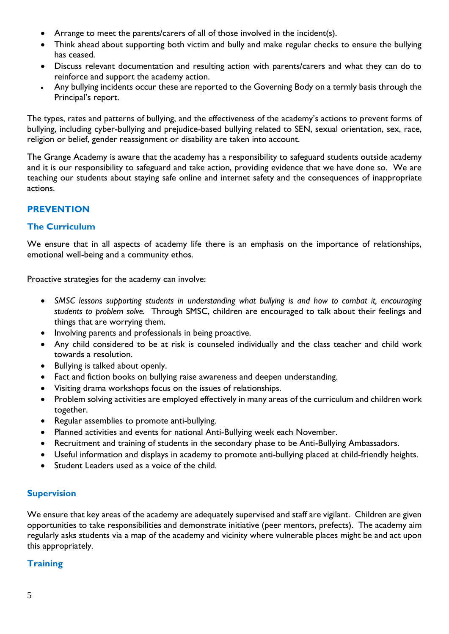- Arrange to meet the parents/carers of all of those involved in the incident(s).
- Think ahead about supporting both victim and bully and make regular checks to ensure the bullying has ceased.
- Discuss relevant documentation and resulting action with parents/carers and what they can do to reinforce and support the academy action.
- Any bullying incidents occur these are reported to the Governing Body on a termly basis through the Principal's report.

The types, rates and patterns of bullying, and the effectiveness of the academy's actions to prevent forms of bullying, including cyber-bullying and prejudice-based bullying related to SEN, sexual orientation, sex, race, religion or belief, gender reassignment or disability are taken into account.

The Grange Academy is aware that the academy has a responsibility to safeguard students outside academy and it is our responsibility to safeguard and take action, providing evidence that we have done so. We are teaching our students about staying safe online and internet safety and the consequences of inappropriate actions.

### **PREVENTION**

#### **The Curriculum**

We ensure that in all aspects of academy life there is an emphasis on the importance of relationships, emotional well-being and a community ethos.

Proactive strategies for the academy can involve:

- *SMSC lessons supporting students in understanding what bullying is and how to combat it, encouraging students to problem solve.* Through SMSC, children are encouraged to talk about their feelings and things that are worrying them.
- Involving parents and professionals in being proactive.
- Any child considered to be at risk is counseled individually and the class teacher and child work towards a resolution.
- Bullying is talked about openly.
- Fact and fiction books on bullying raise awareness and deepen understanding.
- Visiting drama workshops focus on the issues of relationships.
- Problem solving activities are employed effectively in many areas of the curriculum and children work together.
- Regular assemblies to promote anti-bullying.
- Planned activities and events for national Anti-Bullying week each November.
- Recruitment and training of students in the secondary phase to be Anti-Bullying Ambassadors.
- Useful information and displays in academy to promote anti-bullying placed at child-friendly heights.
- Student Leaders used as a voice of the child.

#### **Supervision**

We ensure that key areas of the academy are adequately supervised and staff are vigilant. Children are given opportunities to take responsibilities and demonstrate initiative (peer mentors, prefects). The academy aim regularly asks students via a map of the academy and vicinity where vulnerable places might be and act upon this appropriately.

#### **Training**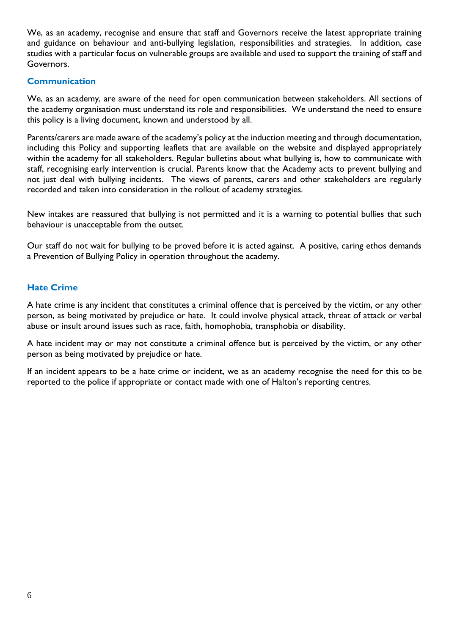We, as an academy, recognise and ensure that staff and Governors receive the latest appropriate training and guidance on behaviour and anti-bullying legislation, responsibilities and strategies. In addition, case studies with a particular focus on vulnerable groups are available and used to support the training of staff and Governors.

#### **Communication**

We, as an academy, are aware of the need for open communication between stakeholders. All sections of the academy organisation must understand its role and responsibilities. We understand the need to ensure this policy is a living document, known and understood by all.

Parents/carers are made aware of the academy's policy at the induction meeting and through documentation, including this Policy and supporting leaflets that are available on the website and displayed appropriately within the academy for all stakeholders. Regular bulletins about what bullying is, how to communicate with staff, recognising early intervention is crucial. Parents know that the Academy acts to prevent bullying and not just deal with bullying incidents. The views of parents, carers and other stakeholders are regularly recorded and taken into consideration in the rollout of academy strategies.

New intakes are reassured that bullying is not permitted and it is a warning to potential bullies that such behaviour is unacceptable from the outset.

Our staff do not wait for bullying to be proved before it is acted against. A positive, caring ethos demands a Prevention of Bullying Policy in operation throughout the academy.

#### **Hate Crime**

A hate crime is any incident that constitutes a criminal offence that is perceived by the victim, or any other person, as being motivated by prejudice or hate. It could involve physical attack, threat of attack or verbal abuse or insult around issues such as race, faith, homophobia, transphobia or disability.

A hate incident may or may not constitute a criminal offence but is perceived by the victim, or any other person as being motivated by prejudice or hate.

If an incident appears to be a hate crime or incident, we as an academy recognise the need for this to be reported to the police if appropriate or contact made with one of Halton's reporting centres.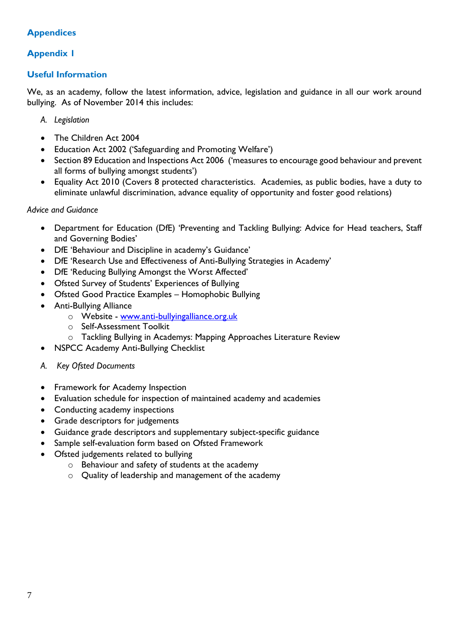# **Appendices**

# **Appendix 1**

#### **Useful Information**

We, as an academy, follow the latest information, advice, legislation and guidance in all our work around bullying. As of November 2014 this includes:

- *A. Legislation*
- The Children Act 2004
- Education Act 2002 ('Safeguarding and Promoting Welfare')
- Section 89 Education and Inspections Act 2006 ('measures to encourage good behaviour and prevent all forms of bullying amongst students')
- Equality Act 2010 (Covers 8 protected characteristics. Academies, as public bodies, have a duty to eliminate unlawful discrimination, advance equality of opportunity and foster good relations)

#### *Advice and Guidance*

- Department for Education (DfE) 'Preventing and Tackling Bullying: Advice for Head teachers, Staff and Governing Bodies'
- DfE 'Behaviour and Discipline in academy's Guidance'
- DfE 'Research Use and Effectiveness of Anti-Bullying Strategies in Academy'
- DfE 'Reducing Bullying Amongst the Worst Affected'
- Ofsted Survey of Students' Experiences of Bullying
- Ofsted Good Practice Examples Homophobic Bullying
- Anti-Bullying Alliance
	- o Website [www.anti-bullyingalliance.org.uk](http://www.anti-bullyingalliance.org.uk/)
	- o Self-Assessment Toolkit
	- o Tackling Bullying in Academys: Mapping Approaches Literature Review
- NSPCC Academy Anti-Bullying Checklist
- *A. Key Ofsted Documents*
- Framework for Academy Inspection
- Evaluation schedule for inspection of maintained academy and academies
- Conducting academy inspections
- Grade descriptors for judgements
- Guidance grade descriptors and supplementary subject-specific guidance
- Sample self-evaluation form based on Ofsted Framework
- Ofsted judgements related to bullying
	- o Behaviour and safety of students at the academy
	- o Quality of leadership and management of the academy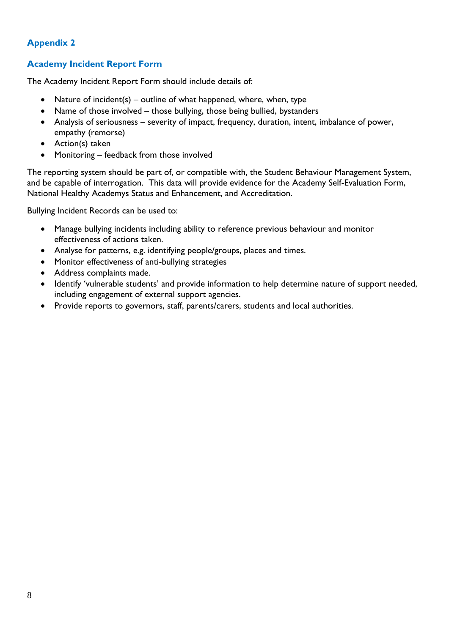#### **Academy Incident Report Form**

The Academy Incident Report Form should include details of:

- Nature of incident(s) outline of what happened, where, when, type
- Name of those involved those bullying, those being bullied, bystanders
- Analysis of seriousness severity of impact, frequency, duration, intent, imbalance of power, empathy (remorse)
- Action(s) taken
- Monitoring feedback from those involved

The reporting system should be part of, or compatible with, the Student Behaviour Management System, and be capable of interrogation. This data will provide evidence for the Academy Self-Evaluation Form, National Healthy Academys Status and Enhancement, and Accreditation.

Bullying Incident Records can be used to:

- Manage bullying incidents including ability to reference previous behaviour and monitor effectiveness of actions taken.
- Analyse for patterns, e.g. identifying people/groups, places and times.
- Monitor effectiveness of anti-bullying strategies
- Address complaints made.
- Identify 'vulnerable students' and provide information to help determine nature of support needed, including engagement of external support agencies.
- Provide reports to governors, staff, parents/carers, students and local authorities.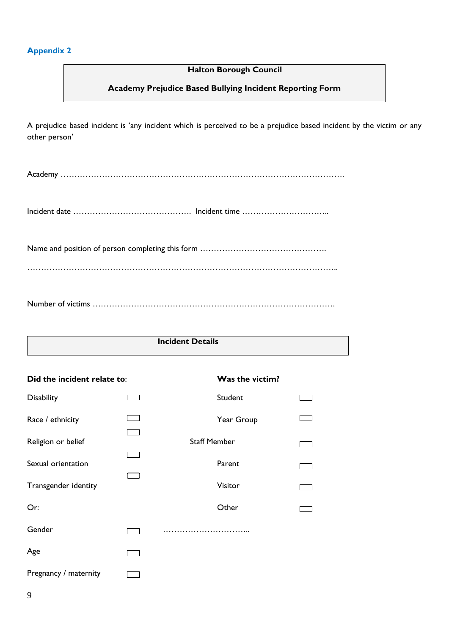#### **Halton Borough Council**

#### **Academy Prejudice Based Bullying Incident Reporting Form**

A prejudice based incident is 'any incident which is perceived to be a prejudice based incident by the victim or any other person'

Academy ………………………………………………………………………………………….

Incident date …………………………………………… Incident time …………………………………

Name and position of person completing this form ……………………………………….

…………………………………………………………………………………………………..

Number of victims …………………………………………………………………………….

#### **Incident Details**

| Did the incident relate to: |                         | Was the victim?     |  |  |  |  |
|-----------------------------|-------------------------|---------------------|--|--|--|--|
| <b>Disability</b>           |                         | Student             |  |  |  |  |
| Race / ethnicity            |                         | Year Group          |  |  |  |  |
| Religion or belief          | <b>1. Second Street</b> | <b>Staff Member</b> |  |  |  |  |
| Sexual orientation          |                         | Parent              |  |  |  |  |
| Transgender identity        |                         | Visitor             |  |  |  |  |
| Or:                         |                         | Other               |  |  |  |  |
| Gender                      |                         |                     |  |  |  |  |
| Age                         |                         |                     |  |  |  |  |
| Pregnancy / maternity       |                         |                     |  |  |  |  |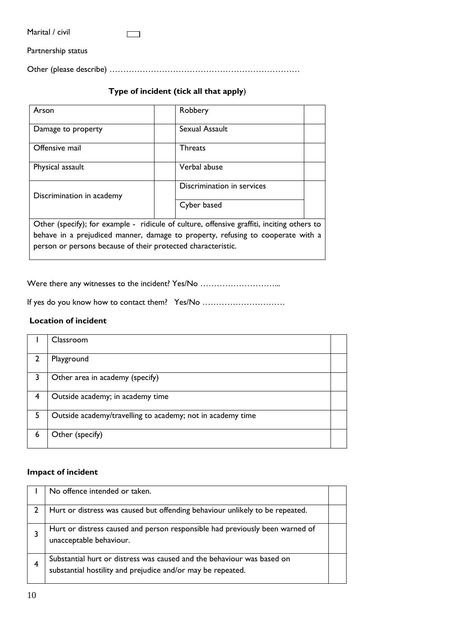| Marital / civil |
|-----------------|
|-----------------|

Partnership status

Other (please describe) ……………………………………………………………

# **Type of incident (tick all that apply**)

| Arson                                                        | Robbery                                                                                    |  |  |  |  |  |
|--------------------------------------------------------------|--------------------------------------------------------------------------------------------|--|--|--|--|--|
| Damage to property                                           | Sexual Assault                                                                             |  |  |  |  |  |
| Offensive mail                                               | <b>Threats</b>                                                                             |  |  |  |  |  |
| Physical assault                                             | Verbal abuse                                                                               |  |  |  |  |  |
| Discrimination in academy                                    | Discrimination in services                                                                 |  |  |  |  |  |
|                                                              | Cyber based                                                                                |  |  |  |  |  |
|                                                              | Other (specify); for example - ridicule of culture, offensive graffiti, inciting others to |  |  |  |  |  |
| person or persons because of their protected characteristic. | behave in a prejudiced manner, damage to property, refusing to cooperate with a            |  |  |  |  |  |
|                                                              |                                                                                            |  |  |  |  |  |

Were there any witnesses to the incident? Yes/No ................................

If yes do you know how to contact them? Yes/No …………………………

#### **Location of incident**

|                | Classroom                                                  |  |
|----------------|------------------------------------------------------------|--|
| $\overline{2}$ | Playground                                                 |  |
| 3              | Other area in academy (specify)                            |  |
| 4              | Outside academy; in academy time                           |  |
| 5              | Outside academy/travelling to academy; not in academy time |  |
| 6              | Other (specify)                                            |  |

#### **Impact of incident**

|   | No offence intended or taken.                                                                                                         |  |
|---|---------------------------------------------------------------------------------------------------------------------------------------|--|
|   | Hurt or distress was caused but offending behaviour unlikely to be repeated.                                                          |  |
|   | Hurt or distress caused and person responsible had previously been warned of<br>unacceptable behaviour.                               |  |
| 4 | Substantial hurt or distress was caused and the behaviour was based on<br>substantial hostility and prejudice and/or may be repeated. |  |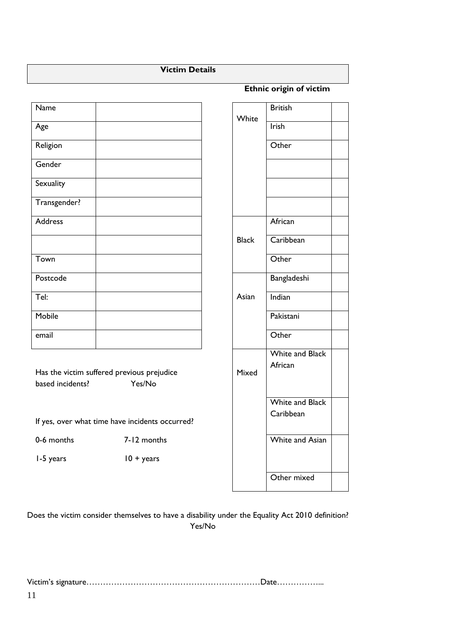#### **Victim Details**

| Name         |  | White        | <b>British</b> |
|--------------|--|--------------|----------------|
| Age          |  |              | Irish          |
| Religion     |  |              | Other          |
| Gender       |  |              |                |
| Sexuality    |  |              |                |
| Transgender? |  |              |                |
| Address      |  |              | Africa         |
|              |  | <b>Black</b> | Caribl         |
| Town         |  |              | Other          |
| Postcode     |  |              | Bangla         |
| Tel:         |  | Asian        | Indian         |
| Mobile       |  |              | Pakista        |
| email        |  |              | Other          |
|              |  |              | White          |

 **Ethnic origin of victim**

**White British** Black **African Caribbean** Asian Bangladeshi Pakistani Mixed White and Black African White and Black **Caribbean** White and Asian Other mixed

Has the victim suffered previous prejudice based incidents? Yes/No

If yes, over what time have incidents occurred?

0-6 months 7-12 months

1-5 years  $10 + \text{years}$ 

Does the victim consider themselves to have a disability under the Equality Act 2010 definition? Yes/No

Victim's signature………………………………………………………Date……………...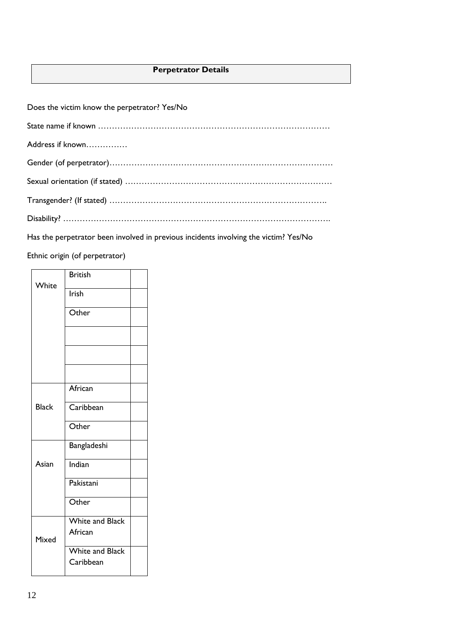## **Perpetrator Details**

| Does the victim know the perpetrator? Yes/No |
|----------------------------------------------|
|                                              |
| Address if known                             |
|                                              |
|                                              |
|                                              |
|                                              |

Has the perpetrator been involved in previous incidents involving the victim? Yes/No

Ethnic origin (of perpetrator)

| White        | <b>British</b>                      |  |  |  |
|--------------|-------------------------------------|--|--|--|
|              | Irish                               |  |  |  |
|              | Other                               |  |  |  |
|              |                                     |  |  |  |
|              |                                     |  |  |  |
|              |                                     |  |  |  |
|              | African                             |  |  |  |
| <b>Black</b> | Caribbean                           |  |  |  |
|              | Other                               |  |  |  |
|              | Bangladeshi                         |  |  |  |
| Asian        | Indian                              |  |  |  |
|              | Pakistani                           |  |  |  |
|              | Other                               |  |  |  |
|              | White and Black<br>African          |  |  |  |
| Mixed        |                                     |  |  |  |
|              | <b>White and Black</b><br>Caribbean |  |  |  |
|              |                                     |  |  |  |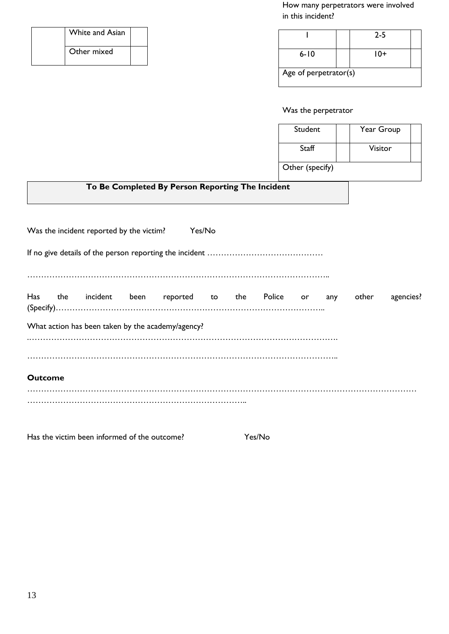How many perpetrators were involved in this incident?

| <b>White and Asian</b> |  |
|------------------------|--|
| Other mixed            |  |

|                       | $2 - 5$ |  |  |  |  |  |
|-----------------------|---------|--|--|--|--|--|
| $6 - 10$              | $10+$   |  |  |  |  |  |
| Age of perpetrator(s) |         |  |  |  |  |  |

Was the perpetrator

| Student         | Year Group |  |
|-----------------|------------|--|
| Staff           | Visitor    |  |
| Other (specify) |            |  |

# **To Be Completed By Person Reporting The Incident**

|                | Was the incident reported by the victim?<br>Yes/No |  |  |                                                   |  |  |  |  |       |           |
|----------------|----------------------------------------------------|--|--|---------------------------------------------------|--|--|--|--|-------|-----------|
|                |                                                    |  |  |                                                   |  |  |  |  |       |           |
| Has            |                                                    |  |  | the incident been reported to the Police or any   |  |  |  |  | other | agencies? |
|                |                                                    |  |  |                                                   |  |  |  |  |       |           |
|                |                                                    |  |  | What action has been taken by the academy/agency? |  |  |  |  |       |           |
|                |                                                    |  |  |                                                   |  |  |  |  |       |           |
|                |                                                    |  |  |                                                   |  |  |  |  |       |           |
| <b>Outcome</b> |                                                    |  |  |                                                   |  |  |  |  |       |           |
|                |                                                    |  |  |                                                   |  |  |  |  |       |           |

Has the victim been informed of the outcome? Yes/No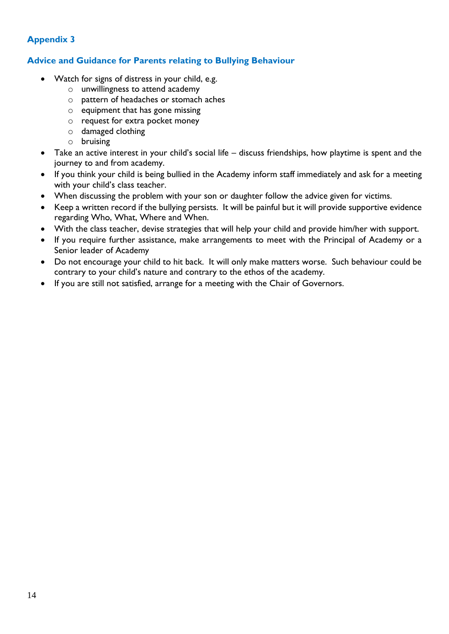#### **Advice and Guidance for Parents relating to Bullying Behaviour**

- Watch for signs of distress in your child, e.g.
	- o unwillingness to attend academy
	- o pattern of headaches or stomach aches
	- $\circ$  equipment that has gone missing
	- o request for extra pocket money
	- o damaged clothing
	- o bruising
- Take an active interest in your child's social life discuss friendships, how playtime is spent and the journey to and from academy.
- If you think your child is being bullied in the Academy inform staff immediately and ask for a meeting with your child's class teacher.
- When discussing the problem with your son or daughter follow the advice given for victims.
- Keep a written record if the bullying persists. It will be painful but it will provide supportive evidence regarding Who, What, Where and When.
- With the class teacher, devise strategies that will help your child and provide him/her with support.
- If you require further assistance, make arrangements to meet with the Principal of Academy or a Senior leader of Academy
- Do not encourage your child to hit back. It will only make matters worse. Such behaviour could be contrary to your child's nature and contrary to the ethos of the academy.
- If you are still not satisfied, arrange for a meeting with the Chair of Governors.